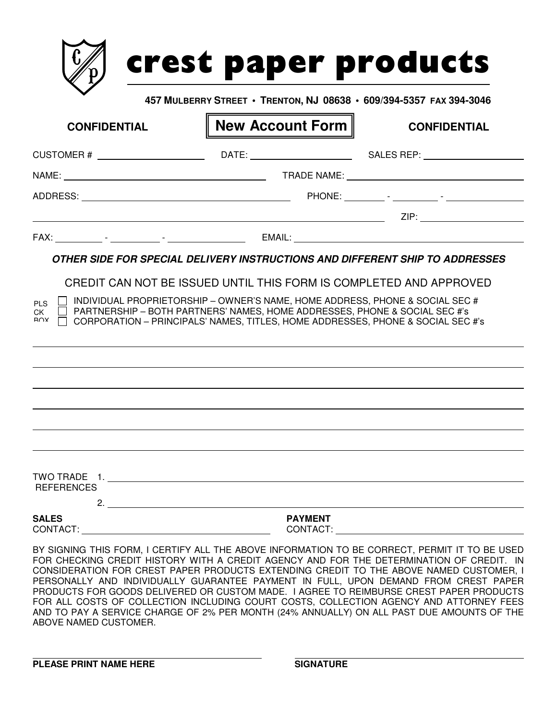|                     | 457 MULBERRY STREET • TRENTON, NJ 08638 • 609/394-5357 FAX 394-3046                                                                                           |                     |
|---------------------|---------------------------------------------------------------------------------------------------------------------------------------------------------------|---------------------|
| <b>CONFIDENTIAL</b> | <b>New Account Form   </b>                                                                                                                                    | <b>CONFIDENTIAL</b> |
|                     | CUSTOMER # _____________________________DATE: __________________________________SALES REP: _________                                                          |                     |
|                     |                                                                                                                                                               |                     |
|                     |                                                                                                                                                               |                     |
|                     |                                                                                                                                                               |                     |
|                     |                                                                                                                                                               |                     |
| CK<br>R∩X           | PARTNERSHIP - BOTH PARTNERS' NAMES, HOME ADDRESSES, PHONE & SOCIAL SEC #'s<br>CORPORATION - PRINCIPALS' NAMES, TITLES, HOME ADDRESSES, PHONE & SOCIAL SEC #'s |                     |
|                     |                                                                                                                                                               |                     |
|                     |                                                                                                                                                               |                     |
|                     |                                                                                                                                                               |                     |
|                     |                                                                                                                                                               |                     |
| <b>REFERENCES</b>   |                                                                                                                                                               |                     |
| <b>SALES</b>        | <b>PAYMENT</b>                                                                                                                                                |                     |

BY SIGNING THIS FORM, I CERTIFY ALL THE ABOVE INFORMATION TO BE CORRECT, PERMIT IT TO BE USED FOR CHECKING CREDIT HISTORY WITH A CREDIT AGENCY AND FOR THE DETERMINATION OF CREDIT. IN CONSIDERATION FOR CREST PAPER PRODUCTS EXTENDING CREDIT TO THE ABOVE NAMED CUSTOMER, I PERSONALLY AND INDIVIDUALLY GUARANTEE PAYMENT IN FULL, UPON DEMAND FROM CREST PAPER PRODUCTS FOR GOODS DELIVERED OR CUSTOM MADE. I AGREE TO REIMBURSE CREST PAPER PRODUCTS FOR ALL COSTS OF COLLECTION INCLUDING COURT COSTS, COLLECTION AGENCY AND ATTORNEY FEES AND TO PAY A SERVICE CHARGE OF 2% PER MONTH (24% ANNUALLY) ON ALL PAST DUE AMOUNTS OF THE ABOVE NAMED CUSTOMER.

**PLEASE PRINT NAME HERE SIGNATURE**